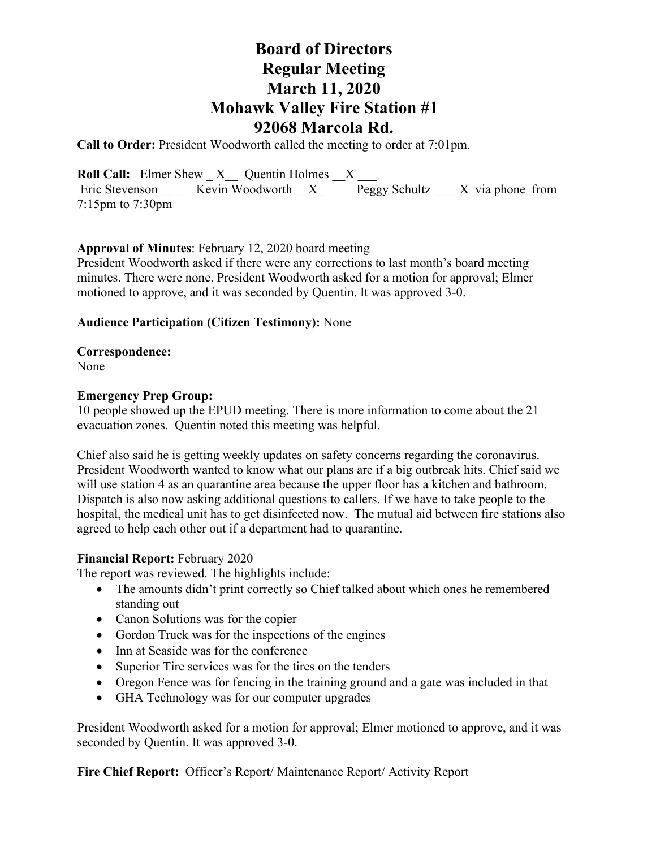**Call to Order:** President Woodworth called the meeting to order at 7:01pm.

**Roll Call:** Elmer Shew  $X$  Quentin Holmes  $X$  \_\_\_\_ Eric Stevenson \_\_ \_ Kevin Woodworth  $X =$  Peggy Schultz \_\_\_X\_via phone\_from 7:15pm to 7:30pm

### **Approval of Minutes**: February 12, 2020 board meeting

President Woodworth asked if there were any corrections to last month's board meeting minutes. There were none. President Woodworth asked for a motion for approval; Elmer motioned to approve, and it was seconded by Quentin. It was approved 3-0.

### **Audience Participation (Citizen Testimony):** None

**Correspondence:**  None

#### **Emergency Prep Group:**

10 people showed up the EPUD meeting. There is more information to come about the 21 evacuation zones. Quentin noted this meeting was helpful.

Chief also said he is getting weekly updates on safety concerns regarding the coronavirus. President Woodworth wanted to know what our plans are if a big outbreak hits. Chief said we will use station 4 as an quarantine area because the upper floor has a kitchen and bathroom. Dispatch is also now asking additional questions to callers. If we have to take people to the hospital, the medical unit has to get disinfected now. The mutual aid between fire stations also agreed to help each other out if a department had to quarantine.

#### **Financial Report:** February 2020

The report was reviewed. The highlights include:

- The amounts didn't print correctly so Chief talked about which ones he remembered standing out
- Canon Solutions was for the copier
- Gordon Truck was for the inspections of the engines
- Inn at Seaside was for the conference
- Superior Tire services was for the tires on the tenders
- Oregon Fence was for fencing in the training ground and a gate was included in that
- GHA Technology was for our computer upgrades

President Woodworth asked for a motion for approval; Elmer motioned to approve, and it was seconded by Quentin. It was approved 3-0.

**Fire Chief Report:** Officer's Report/ Maintenance Report/ Activity Report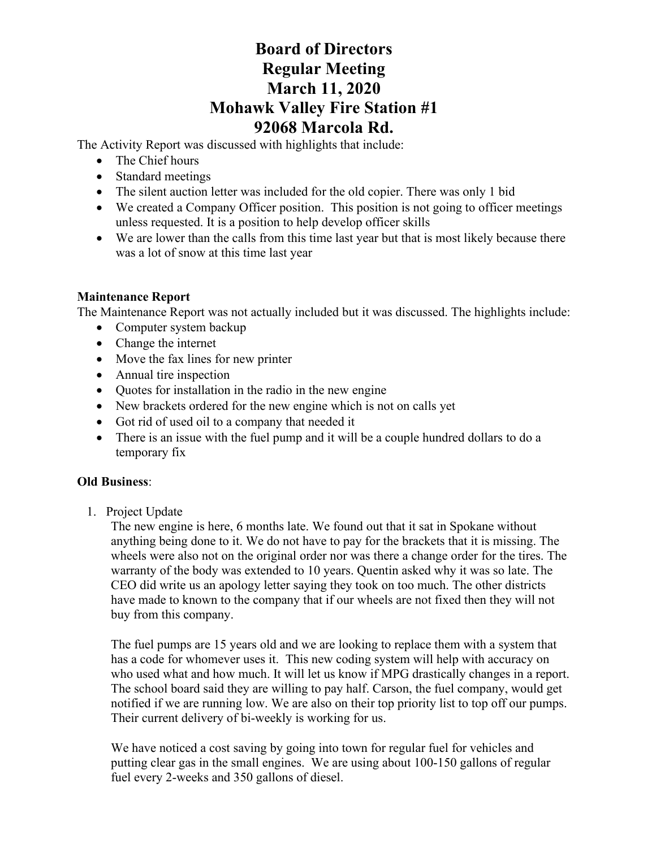The Activity Report was discussed with highlights that include:

- The Chief hours
- Standard meetings
- The silent auction letter was included for the old copier. There was only 1 bid
- We created a Company Officer position. This position is not going to officer meetings unless requested. It is a position to help develop officer skills
- We are lower than the calls from this time last year but that is most likely because there was a lot of snow at this time last year

### **Maintenance Report**

The Maintenance Report was not actually included but it was discussed. The highlights include:

- Computer system backup
- Change the internet
- Move the fax lines for new printer
- Annual tire inspection
- Ouotes for installation in the radio in the new engine
- New brackets ordered for the new engine which is not on calls yet
- Got rid of used oil to a company that needed it
- There is an issue with the fuel pump and it will be a couple hundred dollars to do a temporary fix

### **Old Business**:

1. Project Update

The new engine is here, 6 months late. We found out that it sat in Spokane without anything being done to it. We do not have to pay for the brackets that it is missing. The wheels were also not on the original order nor was there a change order for the tires. The warranty of the body was extended to 10 years. Quentin asked why it was so late. The CEO did write us an apology letter saying they took on too much. The other districts have made to known to the company that if our wheels are not fixed then they will not buy from this company.

The fuel pumps are 15 years old and we are looking to replace them with a system that has a code for whomever uses it. This new coding system will help with accuracy on who used what and how much. It will let us know if MPG drastically changes in a report. The school board said they are willing to pay half. Carson, the fuel company, would get notified if we are running low. We are also on their top priority list to top off our pumps. Their current delivery of bi-weekly is working for us.

We have noticed a cost saving by going into town for regular fuel for vehicles and putting clear gas in the small engines. We are using about 100-150 gallons of regular fuel every 2-weeks and 350 gallons of diesel.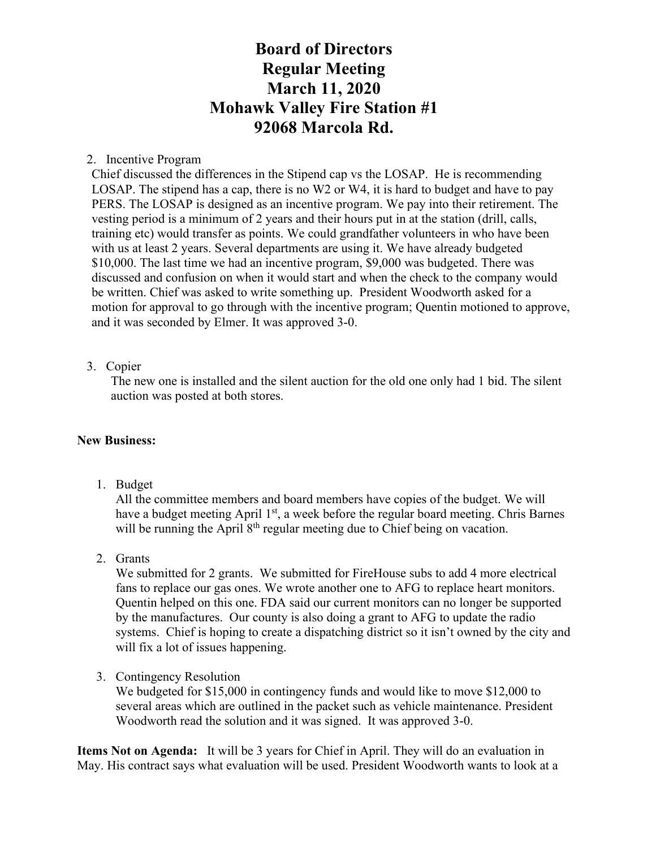### 2. Incentive Program

Chief discussed the differences in the Stipend cap vs the LOSAP. He is recommending LOSAP. The stipend has a cap, there is no W2 or W4, it is hard to budget and have to pay PERS. The LOSAP is designed as an incentive program. We pay into their retirement. The vesting period is a minimum of 2 years and their hours put in at the station (drill, calls, training etc) would transfer as points. We could grandfather volunteers in who have been with us at least 2 years. Several departments are using it. We have already budgeted \$10,000. The last time we had an incentive program, \$9,000 was budgeted. There was discussed and confusion on when it would start and when the check to the company would be written. Chief was asked to write something up. President Woodworth asked for a motion for approval to go through with the incentive program; Quentin motioned to approve, and it was seconded by Elmer. It was approved 3-0.

### 3. Copier

The new one is installed and the silent auction for the old one only had 1 bid. The silent auction was posted at both stores.

### **New Business:**

1. Budget

All the committee members and board members have copies of the budget. We will have a budget meeting April 1<sup>st</sup>, a week before the regular board meeting. Chris Barnes will be running the April  $8<sup>th</sup>$  regular meeting due to Chief being on vacation.

2. Grants

We submitted for 2 grants. We submitted for FireHouse subs to add 4 more electrical fans to replace our gas ones. We wrote another one to AFG to replace heart monitors. Quentin helped on this one. FDA said our current monitors can no longer be supported by the manufactures. Our county is also doing a grant to AFG to update the radio systems. Chief is hoping to create a dispatching district so it isn't owned by the city and will fix a lot of issues happening.

3. Contingency Resolution

We budgeted for \$15,000 in contingency funds and would like to move \$12,000 to several areas which are outlined in the packet such as vehicle maintenance. President Woodworth read the solution and it was signed. It was approved 3-0.

**Items Not on Agenda:** It will be 3 years for Chief in April. They will do an evaluation in May. His contract says what evaluation will be used. President Woodworth wants to look at a